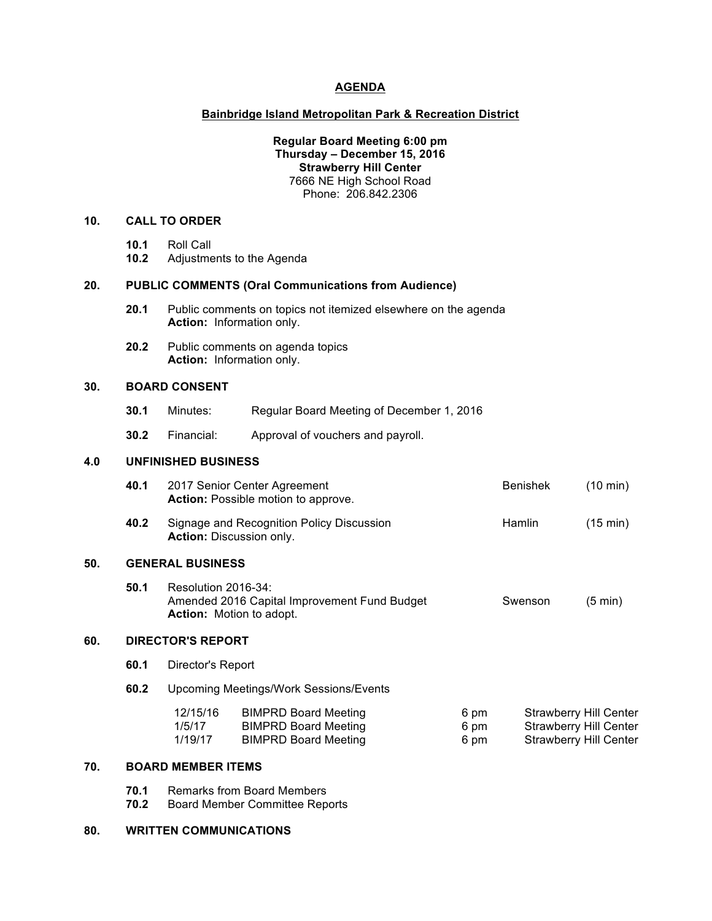### **AGENDA**

#### **Bainbridge Island Metropolitan Park & Recreation District**

# **Regular Board Meeting 6:00 pm Thursday – December 15, 2016 Strawberry Hill Center** 7666 NE High School Road Phone: 206.842.2306

# **10. CALL TO ORDER**

- **10.1** Roll Call
- **10.2** Adjustments to the Agenda

#### **20. PUBLIC COMMENTS (Oral Communications from Audience)**

- **20.1** Public comments on topics not itemized elsewhere on the agenda **Action:** Information only.
- **20.2** Public comments on agenda topics **Action:** Information only.

### **30. BOARD CONSENT**

**50.** 

- **30.1** Minutes: Regular Board Meeting of December 1, 2016
- **30.2** Financial: Approval of vouchers and payroll.

# **4.0 UNFINISHED BUSINESS**

|     | 40.1                     |                                                                                                        | 2017 Senior Center Agreement<br>Action: Possible motion to approve.          |              | <b>Benishek</b>                                                | $(10 \text{ min})$ |  |  |  |
|-----|--------------------------|--------------------------------------------------------------------------------------------------------|------------------------------------------------------------------------------|--------------|----------------------------------------------------------------|--------------------|--|--|--|
|     | 40.2                     |                                                                                                        | Signage and Recognition Policy Discussion<br><b>Action: Discussion only.</b> |              | <b>Hamlin</b>                                                  | (15 min)           |  |  |  |
| 50. | <b>GENERAL BUSINESS</b>  |                                                                                                        |                                                                              |              |                                                                |                    |  |  |  |
|     | 50.1                     | Resolution 2016-34:<br>Amended 2016 Capital Improvement Fund Budget<br><b>Action:</b> Motion to adopt. |                                                                              | Swenson      | $(5 \text{ min})$                                              |                    |  |  |  |
| 60. | <b>DIRECTOR'S REPORT</b> |                                                                                                        |                                                                              |              |                                                                |                    |  |  |  |
|     | 60.1                     | Director's Report                                                                                      |                                                                              |              |                                                                |                    |  |  |  |
|     | 60.2                     | <b>Upcoming Meetings/Work Sessions/Events</b>                                                          |                                                                              |              |                                                                |                    |  |  |  |
|     |                          | 12/15/16<br>1/5/17                                                                                     | <b>BIMPRD Board Meeting</b><br><b>BIMPRD Board Meeting</b>                   | 6 pm<br>6 pm | <b>Strawberry Hill Center</b><br><b>Strawberry Hill Center</b> |                    |  |  |  |

| 1/5/17  | <b>BIMPRD Board Meeting</b> | 6 pm | <b>Strawberry Hill Center</b> |
|---------|-----------------------------|------|-------------------------------|
| 1/19/17 | <b>BIMPRD Board Meeting</b> | 6 pm | <b>Strawberry Hill Center</b> |

# **70. BOARD MEMBER ITEMS**

- **70.1** Remarks from Board Members<br>**70.2** Board Member Committee Rep
- **70.2** Board Member Committee Reports

#### **80. WRITTEN COMMUNICATIONS**